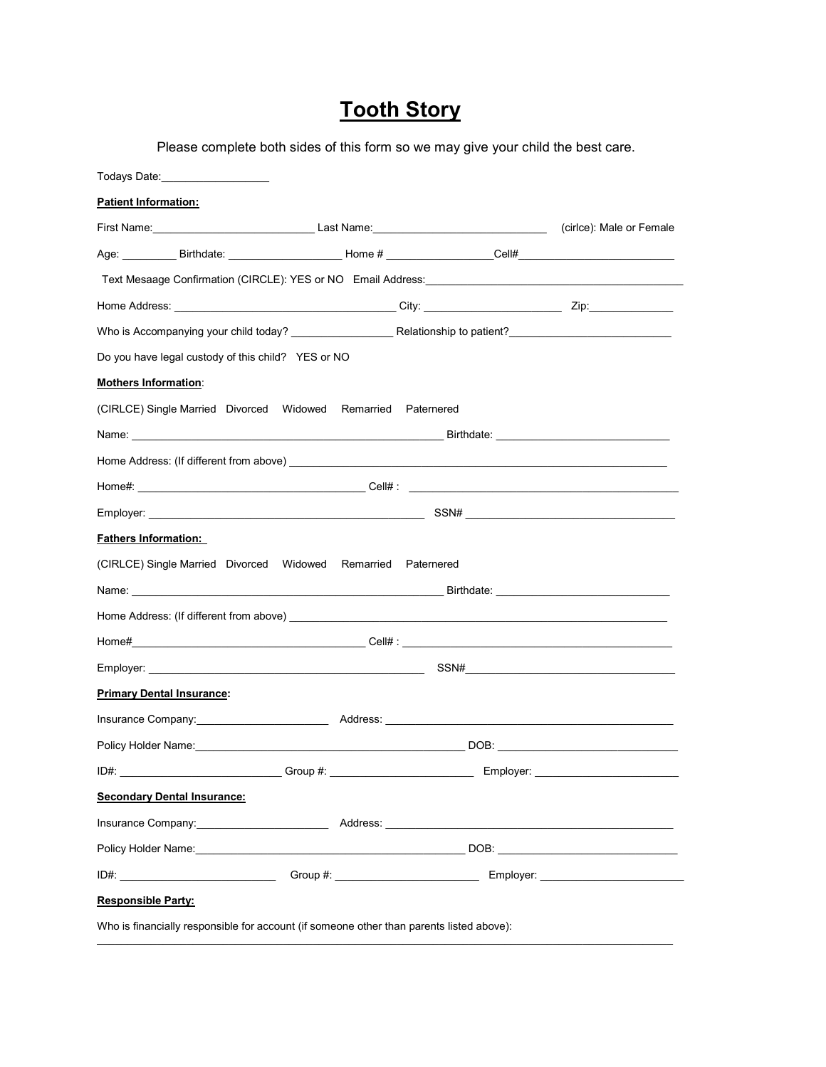## **Tooth Story**

Please complete both sides of this form so we may give your child the best care.

| Todays Date: The Contract of the Contract of the Contract of the Contract of the Contract of the Contract of the Contract of the Contract of the Contract of the Contract of the Contract of the Contract of the Contract of t |  |             |
|--------------------------------------------------------------------------------------------------------------------------------------------------------------------------------------------------------------------------------|--|-------------|
| <b>Patient Information:</b>                                                                                                                                                                                                    |  |             |
|                                                                                                                                                                                                                                |  |             |
|                                                                                                                                                                                                                                |  |             |
|                                                                                                                                                                                                                                |  |             |
|                                                                                                                                                                                                                                |  |             |
|                                                                                                                                                                                                                                |  |             |
| Do you have legal custody of this child? YES or NO                                                                                                                                                                             |  |             |
| <b>Mothers Information:</b>                                                                                                                                                                                                    |  |             |
| (CIRLCE) Single Married Divorced Widowed Remarried Paternered                                                                                                                                                                  |  |             |
|                                                                                                                                                                                                                                |  |             |
|                                                                                                                                                                                                                                |  |             |
|                                                                                                                                                                                                                                |  |             |
|                                                                                                                                                                                                                                |  |             |
| <b>Fathers Information:</b>                                                                                                                                                                                                    |  |             |
| (CIRLCE) Single Married Divorced Widowed Remarried Paternered                                                                                                                                                                  |  |             |
|                                                                                                                                                                                                                                |  |             |
|                                                                                                                                                                                                                                |  |             |
|                                                                                                                                                                                                                                |  |             |
|                                                                                                                                                                                                                                |  | $SSN# \_\_$ |
| <b>Primary Dental Insurance:</b>                                                                                                                                                                                               |  |             |
| Insurance Company:                                                                                                                                                                                                             |  |             |
|                                                                                                                                                                                                                                |  |             |
| $ID#$ :                                                                                                                                                                                                                        |  |             |
| <b>Secondary Dental Insurance:</b>                                                                                                                                                                                             |  |             |
|                                                                                                                                                                                                                                |  |             |
|                                                                                                                                                                                                                                |  |             |
|                                                                                                                                                                                                                                |  |             |
| <b>Responsible Party:</b>                                                                                                                                                                                                      |  |             |

Who is financially responsible for account (if someone other than parents listed above): \_\_\_\_\_\_\_\_\_\_\_\_\_\_\_\_\_\_\_\_\_\_\_\_\_\_\_\_\_\_\_\_\_\_\_\_\_\_\_\_\_\_\_\_\_\_\_\_\_\_\_\_\_\_\_\_\_\_\_\_\_\_\_\_\_\_\_\_\_\_\_\_\_\_\_\_\_\_\_\_\_\_\_\_\_\_\_\_\_\_\_\_\_\_\_\_